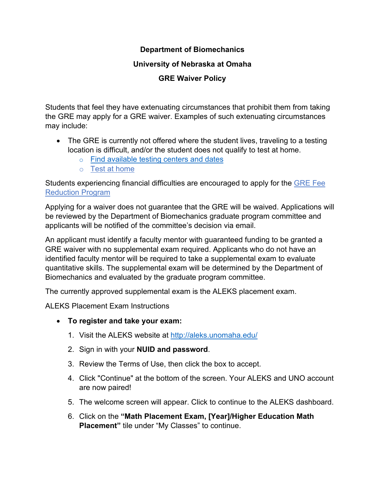# **Department of Biomechanics**

## **University of Nebraska at Omaha**

# **GRE Waiver Policy**

Students that feel they have extenuating circumstances that prohibit them from taking the GRE may apply for a GRE waiver. Examples of such extenuating circumstances may include:

- The GRE is currently not offered where the student lives, traveling to a testing location is difficult, and/or the student does not qualify to test at home.
	- o [Find available testing centers and dates](https://www.ets.org/gre/centersearch)
	- o [Test at home](https://www.ets.org/mygre)

Students experiencing financial difficulties are encouraged to apply for the [GRE Fee](https://www.ets.org/gre/revised_general/register/fees/reductions)  [Reduction Program](https://www.ets.org/gre/revised_general/register/fees/reductions)

Applying for a waiver does not guarantee that the GRE will be waived. Applications will be reviewed by the Department of Biomechanics graduate program committee and applicants will be notified of the committee's decision via email.

An applicant must identify a faculty mentor with guaranteed funding to be granted a GRE waiver with no supplemental exam required. Applicants who do not have an identified faculty mentor will be required to take a supplemental exam to evaluate quantitative skills. The supplemental exam will be determined by the Department of Biomechanics and evaluated by the graduate program committee.

The currently approved supplemental exam is the ALEKS placement exam.

ALEKS Placement Exam Instructions

- **To register and take your exam:**
	- 1. Visit the ALEKS website at<http://aleks.unomaha.edu/>
	- 2. Sign in with your **NUID and password**.
	- 3. Review the Terms of Use, then click the box to accept.
	- 4. Click "Continue" at the bottom of the screen. Your ALEKS and UNO account are now paired!
	- 5. The welcome screen will appear. Click to continue to the ALEKS dashboard.
	- 6. Click on the **"Math Placement Exam, [Year]/Higher Education Math Placement"** tile under "My Classes" to continue.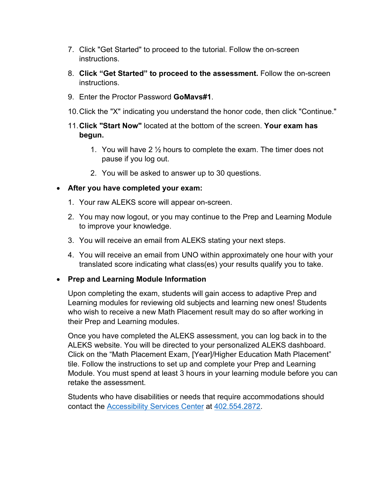- 7. Click "Get Started" to proceed to the tutorial. Follow the on-screen instructions.
- 8. **Click "Get Started" to proceed to the assessment.** Follow the on-screen instructions.
- 9. Enter the Proctor Password **GoMavs#1**.
- 10.Click the "X" indicating you understand the honor code, then click "Continue."
- 11.**Click "Start Now"** located at the bottom of the screen. **Your exam has begun.**
	- 1. You will have 2  $\frac{1}{2}$  hours to complete the exam. The timer does not pause if you log out.
	- 2. You will be asked to answer up to 30 questions.

## • **After you have completed your exam:**

- 1. Your raw ALEKS score will appear on-screen.
- 2. You may now logout, or you may continue to the Prep and Learning Module to improve your knowledge.
- 3. You will receive an email from ALEKS stating your next steps.
- 4. You will receive an email from UNO within approximately one hour with your translated score indicating what class(es) your results qualify you to take.

#### • **Prep and Learning Module Information**

Upon completing the exam, students will gain access to adaptive Prep and Learning modules for reviewing old subjects and learning new ones! Students who wish to receive a new Math Placement result may do so after working in their Prep and Learning modules.

Once you have completed the ALEKS assessment, you can log back in to the ALEKS website. You will be directed to your personalized ALEKS dashboard. Click on the "Math Placement Exam, [Year]/Higher Education Math Placement" tile. Follow the instructions to set up and complete your Prep and Learning Module. You must spend at least 3 hours in your learning module before you can retake the assessment.

Students who have disabilities or needs that require accommodations should contact the [Accessibility Services Center](https://www.unomaha.edu/student-life/accessibility/staff-directory/index.php) at [402.554.2872.](tel:402.554.2872)